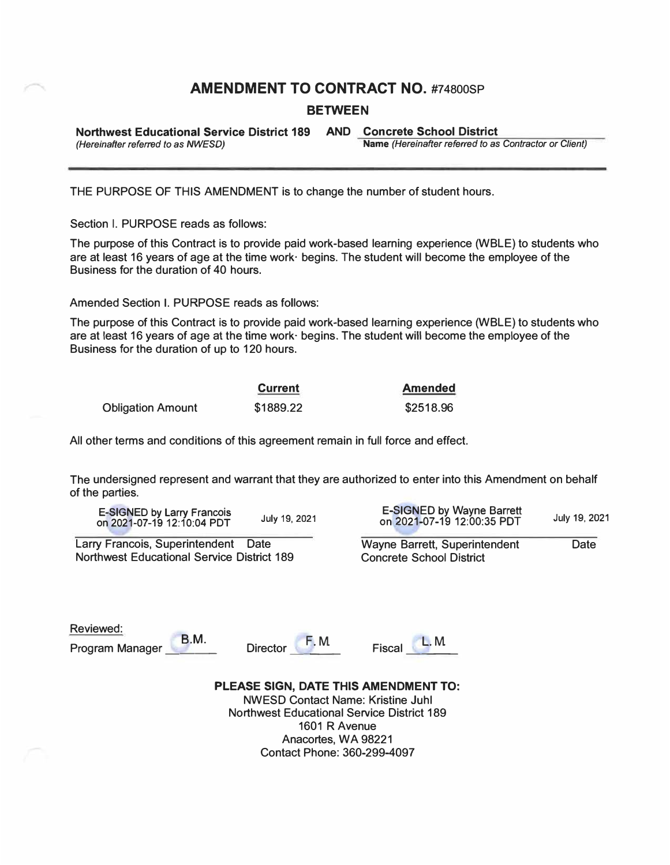# **AMENDMENT TO CONTRACT NO.** #74800SP

## **BETWEEN**

**Northwest Educational Service District 189 AND Concrete School District (Hereinafter referred to as NWESD)** 

**Name** (Hereinafter referred to as Contractor or Client)

THE PURPOSE OF THIS AMENDMENT is to change the number of student hours.

Section I. PURPOSE reads as follows:

The purpose of this Contract is to provide paid work-based learning experience (WBLE) to students who are at least 16 years of age at the time work· begins. The student will become the employee of the Business for the duration of 40 hours.

Amended Section I. PURPOSE reads as follows:

The purpose of this Contract is to provide paid work-based learning experience (WBLE) to students who are at least 16 years of age at the time work· begins. The student will become the employee of the Business for the duration of up to 120 hours.

|                          | <b>Current</b> | Amended   |
|--------------------------|----------------|-----------|
| <b>Obligation Amount</b> | \$1889.22      | \$2518.96 |

All other terms and conditions of this agreement remain in full force and effect.

The undersigned represent and warrant that they are authorized to enter into this Amendment on behalf of the parties.

E-SIGNED by Larry Francois on 2021-07-19 12:10:04 PDT

Northwest Educational Service District 189

**B.M.** 

E-SIGNED by Wayne Barrett on 2021-07-19 12:00:35 PDT **July 19, 2021 July 19, 2021**

**Larry Francois, Superintendent Date Wayne Barrett, Superintendent Date Northwest Educational Service District 189** 

Reviewed:

Program Manager





**PLEASE SIGN, DATE THIS AMENDMENT TO:**  NWESD Contact Name: Kristine Juhl Northwest Educational Service District 189 1601 R Avenue Anacortes, WA 98221 Contact Phone: 360-299-4097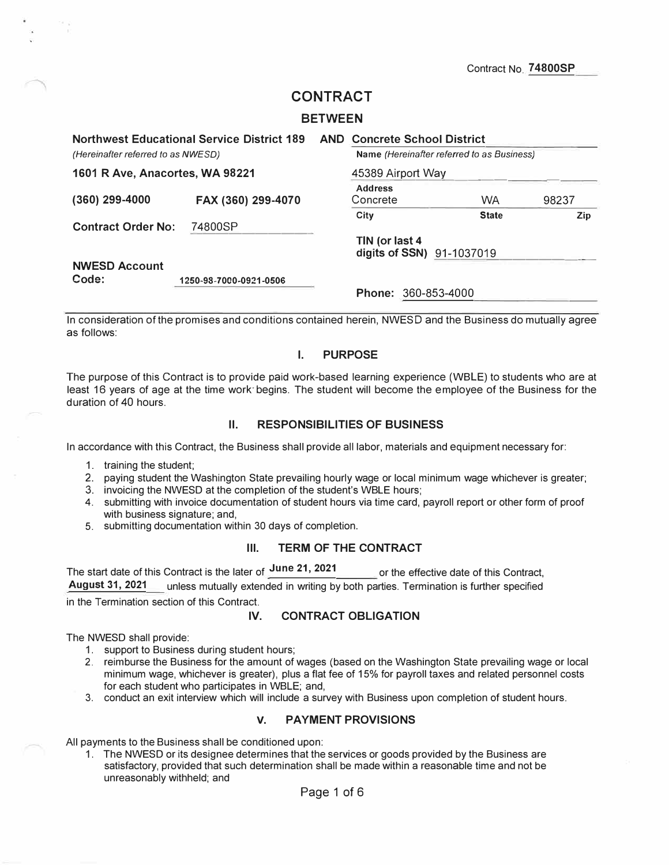Contract No. **74800SP** 

# **CONTRACT**

#### **BETWEEN**

|                                    | <b>Northwest Educational Service District 189</b> | <b>AND Concrete School District</b>         |                                            |       |
|------------------------------------|---------------------------------------------------|---------------------------------------------|--------------------------------------------|-------|
| (Hereinafter referred to as NWESD) |                                                   |                                             | Name (Hereinafter referred to as Business) |       |
| 1601 R Ave, Anacortes, WA 98221    |                                                   | 45389 Airport Way                           |                                            |       |
| $(360)$ 299-4000                   | FAX (360) 299-4070                                | <b>Address</b><br>Concrete                  | <b>WA</b>                                  | 98237 |
| <b>Contract Order No:</b>          | 74800SP                                           | City                                        | <b>State</b>                               | Zip   |
|                                    |                                                   | TIN (or last 4<br>digits of SSN) 91-1037019 |                                            |       |
| <b>NWESD Account</b><br>Code:      | 1250-98-7000-0921-0506                            |                                             |                                            |       |
|                                    |                                                   | <b>Phone: 360-853-4000</b>                  |                                            |       |

In consideration of the promises and conditions contained herein, NWESD and the Business do mutually agree as follows:

## **I. PURPOSE**

The purpose of this Contract is to provide paid work-based learning experience (WBLE) to students who are at least 16 years of age at the time work· begins. The student will become the employee of the Business for the duration of 40 hours.

#### **II. RESPONSIBILITIES OF BUSINESS**

In accordance with this Contract, the Business shall provide all labor, materials and equipment necessary for:

- 1. training the student;
- 2. paying student the Washington State prevailing hourly wage or local minimum wage whichever is greater;
- 3. invoicing the NWESD at the completion of the student's WBLE hours;
- 4. submitting with invoice documentation of student hours via time card, payroll report or other form of proof with business signature; and,
- 5. submitting documentation within 30 days of completion.

## **Ill. TERM OF THE CONTRACT**

The start date of this Contract is the later of **June 21, 2021** or the effective date of this Contract,<br>August 31, 2021 unless mutually extended in writing by both parties. Termination is further specified **Lunless mutually extended in writing by both parties. Termination is further specified** 

in the Termination section of this Contract.

#### **IV. CONTRACT OBLIGATION**

The NWESD shall provide:

- 1. support to Business during student hours;
- 2. reimburse the Business for the amount of wages (based on the Washington State prevailing wage or local minimum wage, whichever is greater), plus a flat fee of 15% for payroll taxes and related personnel costs for each student who participates in WBLE; and,
- 3. conduct an exit interview which will include a survey with Business upon completion of student hours.

#### **V. PAYMENT PROVISIONS**

All payments to the Business shall be conditioned upon:

1. The NWESD or its designee determines that the services or goods provided by the Business are satisfactory, provided that such determination shall be made within a reasonable time and not be unreasonably withheld; and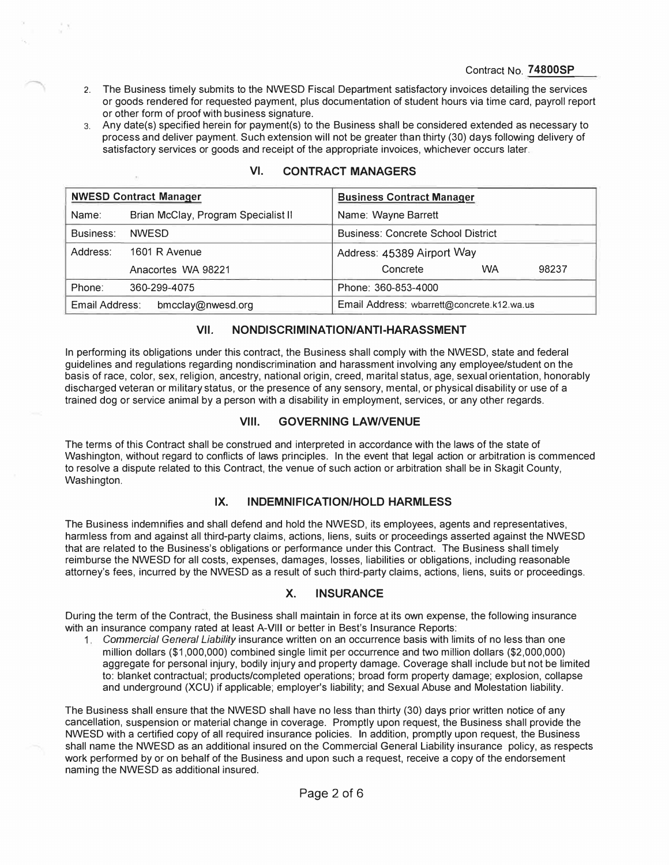- 2. The Business timely submits to the NWESD Fiscal Department satisfactory invoices detailing the services or goods rendered for requested payment, plus documentation of student hours via time card, payroll report or other form of proof with business signature.
- 3. Any date(s) specified herein for payment(s) to the Business shall be considered extended as necessary to process and deliver payment. Such extension will not be greater than thirty (30) days following delivery of satisfactory services or goods and receipt of the appropriate invoices, whichever occurs later.

|                                     | <b>NWESD Contract Manager</b>       | <b>Business Contract Manager</b>           |  |  |
|-------------------------------------|-------------------------------------|--------------------------------------------|--|--|
| Name:                               | Brian McClay, Program Specialist II | Name: Wayne Barrett                        |  |  |
| Business:                           | <b>NWESD</b>                        | <b>Business: Concrete School District</b>  |  |  |
| Address:                            | 1601 R Avenue                       | Address: 45389 Airport Way                 |  |  |
|                                     | Anacortes WA 98221                  | WA<br>Concrete<br>98237                    |  |  |
| Phone:                              | 360-299-4075                        | Phone: 360-853-4000                        |  |  |
| Email Address:<br>bmcclay@nwesd.org |                                     | Email Address: wbarrett@concrete.k12.wa.us |  |  |

## **VI. CONTRACT MANAGERS**

## **VII. NONDISCRIMINATION/ANTI-HARASSMENT**

In performing its obligations under this contract, the Business shall comply with the NWESD, state and federal guidelines and regulations regarding nondiscrimination and harassment involving any employee/student on the basis of race, color, sex, religion, ancestry, national origin, creed, marital status, age, sexual orientation, honorably discharged veteran or military status, or the presence of any sensory, mental, or physical disability or use of a trained dog or service animal by a person with a disability in employment, services, or any other regards.

## **VIII. GOVERNING LAWNENUE**

The terms of this Contract shall be construed and interpreted in accordance with the laws of the state of Washington, without regard to conflicts of laws principles. In the event that legal action or arbitration is commenced to resolve a dispute related to this Contract, the venue of such action or arbitration shall be in Skagit County, Washington.

## **IX. INDEMNIFICATION/HOLD HARMLESS**

The Business indemnifies and shall defend and hold the NWESD, its employees, agents and representatives, harmless from and against all third-party claims, actions, liens, suits or proceedings asserted against the NWESD that are related to the Business's obligations or performance under this Contract. The Business shall timely reimburse the NWESD for all costs, expenses, damages, losses, liabilities or obligations, including reasonable attorney's fees, incurred by the NWESD as a result of such third-party claims, actions, liens, suits or proceedings.

## **X. INSURANCE**

During the term of the Contract, the Business shall maintain in force at its own expense, the following insurance with an insurance company rated at least A-VIII or better in Best's Insurance Reports:

1. *Commercial General Liability* insurance written on an occurrence basis with limits of no less than one million dollars (\$1,000,000) combined single limit per occurrence and two million dollars (\$2,000,000) aggregate for personal injury, bodily injury and property damage. Coverage shall include but not be limited to: blanket contractual; products/completed operations; broad form property damage; explosion, collapse and underground (XCU) if applicable; employer's liability; and Sexual Abuse and Molestation liability.

The Business shall ensure that the NWESD shall have no less than thirty (30) days prior written notice of any cancellation, suspension or material change in coverage. Promptly upon request, the Business shall provide the NWESD with a certified copy of all required insurance policies. In addition, promptly upon request, the Business shall name the NWESD as an additional insured on the Commercial General Liability insurance policy, as respects work performed by or on behalf of the Business and upon such a request, receive a copy of the endorsement naming the NWESD as additional insured.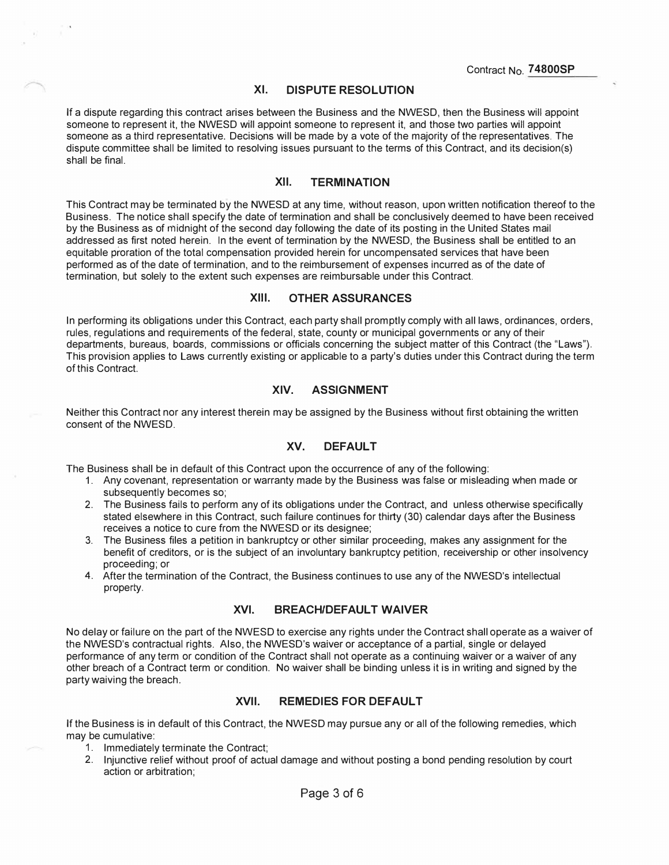### **XI. DISPUTE RESOLUTION**

**If a dispute regarding this contract arises between the Business and the NWESD, then the Business wiH appoint someone to represent it, the NWESD will appoint someone to represent it, and those two parties will appoint someone as a third representative. Decisions will be made by a vote of the majority of the representatives. The dispute committee shall be limited to resolving issues pursuant to the terms of this Contract, and its decision(s) shall be final.** 

#### **XII. TERMINATION**

**This Contract may be terminated by the NWESD at any time, without reason, upon written notification thereof to the Business. The notice shall specify the date of termination and shall be conclusively deemed to have been received by the Business as of midnight of the second day following the date of its posting in the United States mail addressed as first noted herein. In the event of termination by the NWESD, the Business shall be entitled to an equitable proration of the total compensation provided herein for uncompensated services that have been performed as of the date of termination, and to the reimbursement of expenses incurred as of the date of termination, but solely to the extent such expenses are reimbursable under this Contract.** 

#### **XIII. OTHER ASSURANCES**

**In performing its obligations under this Contract, each party shall promptly comply with all laws, ordinances, orders, rules, regulations and requirements of the federal, state, county or municipal governments or any of their departments, bureaus, boards, commissions or officials concerning the subject matter of this Contract (the "Laws"). This provision applies to Laws currently existing or applicable to a party's duties under this Contract during the term of this Contract.** 

## **XIV. ASSIGNMENT**

**Neither this Contract nor any interest therein may be assigned by the Business without first obtaining the written consent of the NWESD.** 

#### **XV. DEFAULT**

**The Business shall be in default of this Contract upon the occurrence of any of the following:** 

- **1. Any covenant, representation or warranty made by the Business was false or misleading when made or subsequently becomes so;**
- **2. The Business fails to perform any of its obligations under the Contract, and unless otherwise specifically stated elsewhere in this Contract, such failure continues for thirty (30) calendar days after the Business receives a notice to cure from the NWESD or its designee;**
- **3. The Business files a petition in bankruptcy or other similar proceeding, makes any assignment for the benefit of creditors, or is the subject of an involuntary bankruptcy petition, receivership or other insolvency proceeding; or**
- **4. After the termination of the Contract, the Business continues to use any of the NWESD's intellectual property.**

#### **XVI. BREACH/DEFAULT WAIVER**

**No delay or failure on the part of the NWESD to exercise any rights under the Contract shall operate as a waiver of the NWESD's contractual rights. Also, the NWESD's waiver or acceptance of a partial, single or delayed performance of any term or condition of the Contract shall not operate as a continuing waiver or a waiver of any other breach of a Contract term or condition. No waiver shall be binding unless it is in writing and signed by the party waiving the breach.** 

## **XVII. REMEDIES FOR DEFAULT**

**If the Business is in default of this Contract, the NWESD may pursue any or all of the following remedies, which may be cumulative:** 

- **1. Immediately terminate the Contract;**
- **2. Injunctive relief without proof of actual damage and without posting a bond pending resolution by court action or arbitration;**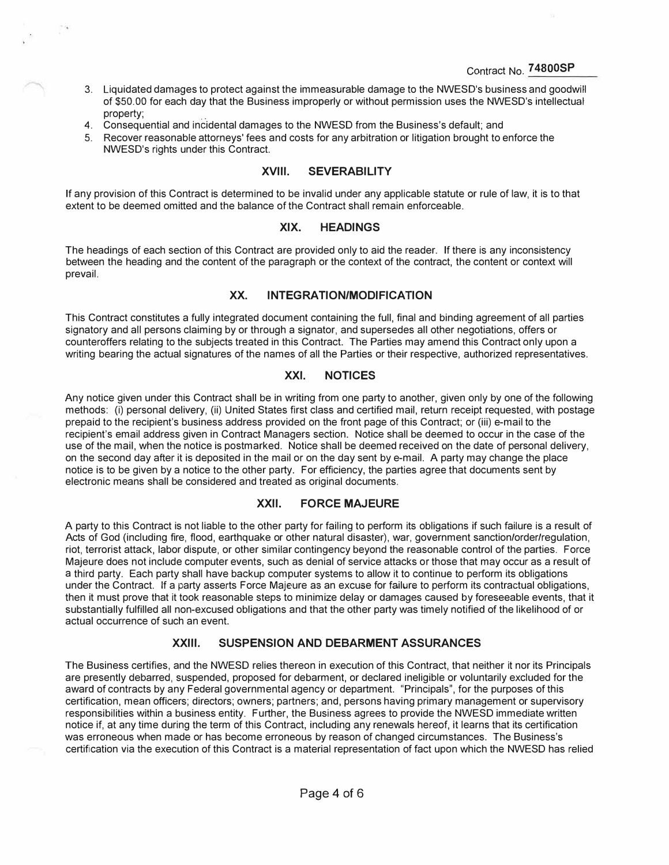- 3. Liquidated damages to protect against the immeasurable damage to the NWESD's business and goodwifl of \$50.00 for each day that the Business improperly or without permission uses the NWESD's intellectual property;
- 4. Consequential and incidental damages to the NWESD from the Business's default; and
- 5. Recover reasonable attorneys' fees and costs for any arbitration or litigation brought to enforce the NWESD's rights under this Contract.

### **XVIII. SEVERABILITY**

If any provision of this Contract is determined to be invalid under any applicable statute or rule of law, it is to that extent to be deemed omitted and the balance of the Contract shall remain enforceable.

#### **XIX. HEADINGS**

The headings of each section of this Contract are provided only to aid the reader. If there is any inconsistency between the heading and the content of the paragraph or the context of the contract, the content or context will prevail.

## **XX. INTEGRATION/MODIFICATION**

This Contract constitutes a fully integrated document containing the full, final and binding agreement of all parties signatory and all persons claiming by or through a signator, and supersedes all other negotiations, offers or counteroffers relating to the subjects treated in this Contract. The Parties may amend this Contract only upon a writing bearing the actual signatures of the names of all the Parties or their respective, authorized representatives.

## **XXI. NOTICES**

Any notice given under this Contract shall be in writing from one party to another, given only by one of the following methods: (i) personal delivery, (ii) United States first class and certified mail, return receipt requested, with postage prepaid to the recipient's business address provided on the front page of this Contract; or (iii) e-mail to the recipient's email address given in Contract Managers section. Notice shall be deemed to occur in the case of the use of the mail, when the notice is postmarked. Notice shall be deemed received on the date of personal delivery, on the second day after it is deposited in the mail or on the day sent by e-mail. A party may change the place notice is to be given by a notice to the other party. For efficiency, the parties agree that documents sent by electronic means shall be considered and treated as original documents.

## **XXII. FORCE MAJEURE**

A party to this Contract is not liable to the other party for failing to perform its obligations if such failure is a result of Acts of God (including fire, flood, earthquake or other natural disaster), war, government sanction/order/regulation, riot, terrorist attack, labor dispute, or other similar contingency beyond the reasonable control of the parties. Force Majeure does not include computer events, such as denial of service attacks or those that may occur as a result of a third party. Each party shall have backup computer systems to allow it to continue to perform its obligations under the Contract. If a party asserts Force Majeure as an excuse for failure to perform its contractual obligations, then it must prove that it took reasonable steps to minimize delay or damages caused by foreseeable events, that it substantially fulfilled all non-excused obligations and that the other party was timely notified of the likelihood of or actual occurrence of such an event.

## **XXIII. SUSPENSION AND DEBARMENT ASSURANCES**

The Business certifies, and the NWESD relies thereon in execution of this Contract, that neither it nor its Principals are presently debarred, suspended, proposed for debarment, or declared ineligible or voluntarily excluded for the award of contracts by any Federal governmental agency or department. "Principals", for the purposes of this certification, mean officers; directors; owners; partners; and, persons having primary management or supervisory responsibilities within a business entity. Further, the Business agrees to provide the NWESD immediate written notice if, at any time during the term of this Contract, including any renewals hereof, it learns that its certification was erroneous when made or has become erroneous by reason of changed circumstances. The Business's certification via the execution of this Contract is a material representation of fact upon which the NWESD has relied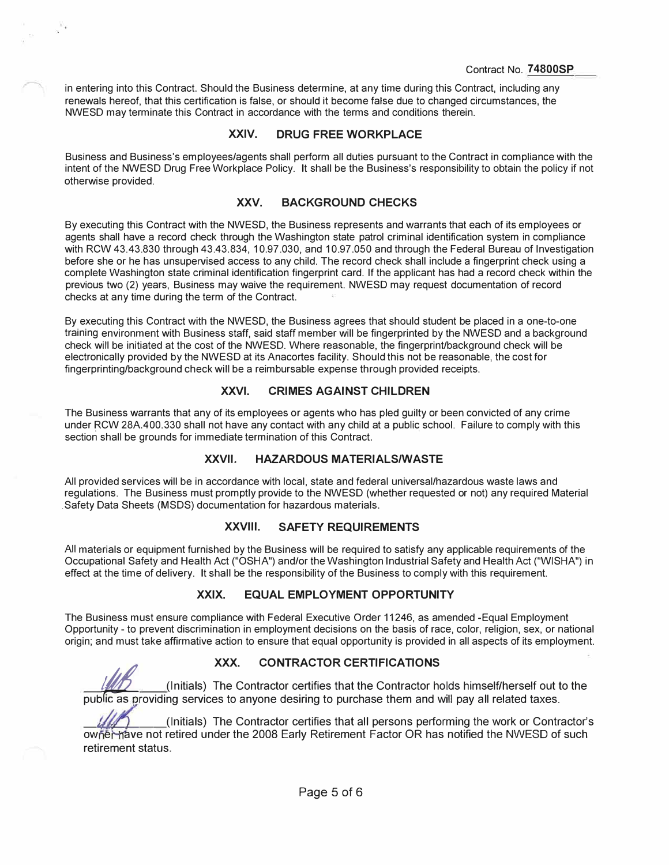in entering into this Contract. Should the Business determine, at any time during this Contract, including any renewals hereof, that this certification is false, or should it become false due to changed circumstances, the NWESD may terminate this Contract in accordance with the terms and conditions therein.

## **XXIV. DRUG FREE WORKPLACE**

Business and Business's employees/agents shall perform all duties pursuant to the Contract in compliance with the intent of the NWESD Drug Free Workplace Policy. It shall be the Business's responsibility to obtain the policy if not otherwise provided.

#### **XXV. BACKGROUND CHECKS**

By executing this Contract with the NWESD, the Business represents and warrants that each of its employees or agents shall have a record check through the Washington state patrol criminal identification system in compliance with RCW 43.43.830 through 43.43.834, 10.97.030, and 10.97.050 and through the Federal Bureau of Investigation before she or he has unsupervised access to any child. The record check shall include a fingerprint check using a complete Washington state criminal identification fingerprint card. If the applicant has had a record check within the previous two (2) years, Business may waive the requirement. NWESD may request documentation of record checks at any time during the term of the Contract.

By executing this Contract with the NWESD, the Business agrees that should student be placed in a one-to-one training environment with Business staff, said staff member will be fingerprinted by the NWESD and a background check will be initiated at the cost of the NWESD. Where reasonable, the fingerprint/background check will be electronically provided by the NWESD at its Anacortes facility. Should this not be reasonable, the cost for fingerprinting/background check will be a reimbursable expense through provided receipts.

## **XXVI. CRIMES AGAINST CHILDREN**

The Business warrants that any of its employees or agents who has pied guilty or been convicted of any crime under RCW 28A.400.330 shall not have any contact with any child at a public school. Failure to comply with this section shall be grounds for immediate termination of this Contract.

#### **XXVII. HAZARDOUS MATERIALS/WASTE**

All provided services will be in accordance with local, state and federal universal/hazardous waste laws and regulations. The Business must promptly provide to the NWESD (whether requested or not) any required Material . Safety Data Sheets (MSDS) documentation for hazardous materials.

#### **XXVIII. SAFETY REQUIREMENTS**

All materials or equipment furnished by the Business will be required to satisfy any applicable requirements of the Occupational Safety and Health Act ("OSHA") and/or the Washington Industrial Safety and Health Act ("WISHA") in effect at the time of delivery. It shall be the responsibility of the Business to comply with this requirement.

## **XXIX. EQUAL EMPLOYMENT OPPORTUNITY**

The Business must ensure compliance with Federal Executive Order 11246, as amended -Equal Employment Opportunity - to prevent discrimination in employment decisions on the basis of race, color, religion, sex, or national origin; and must take affirmative action to ensure that equal opportunity is provided in all aspects of its employment.

**XXX.** CONTRACTOR CERTIFICATIONS<br>(Initials) The Contractor certifies that the Contractor holds himself/herself out to the public as providing services to anyone desiring to purchase them and will pay all related taxes.

(Initials) The Contractor certifies that all persons performing the work or Contractor's owhet have not retired under the 2008 Early Retirement Factor OR has notified the NWESD of such **retirement status.**